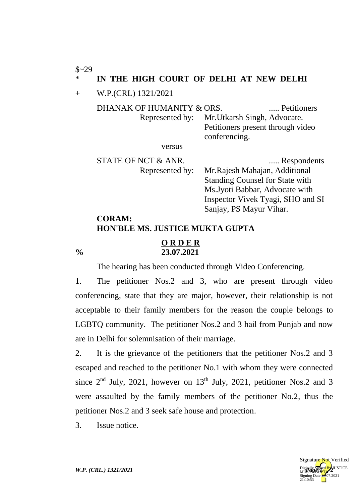$$~29$ 

## IN THE HIGH COURT OF DELHI AT NEW DELHI

+ W.P.(CRL) 1321/2021

| DHANAK OF HUMANITY & ORS. |                                              | Petitioners |
|---------------------------|----------------------------------------------|-------------|
|                           | Represented by: Mr. Utkarsh Singh, Advocate. |             |
|                           | Petitioners present through video            |             |
|                           | conferencing.                                |             |
| versus                    |                                              |             |

versus

STATE OF NCT & ANR. ..... Respondents Represented by: Mr.Rajesh Mahajan, Additional Standing Counsel for State with Ms.Jyoti Babbar, Advocate with Inspector Vivek Tyagi, SHO and SI

Sanjay, PS Mayur Vihar.

## **CORAM: HON'BLE MS. JUSTICE MUKTA GUPTA**

## **O R D E R % 23.07.2021**

The hearing has been conducted through Video Conferencing.

1. The petitioner Nos.2 and 3, who are present through video conferencing, state that they are major, however, their relationship is not acceptable to their family members for the reason the couple belongs to LGBTQ community. The petitioner Nos.2 and 3 hail from Punjab and now are in Delhi for solemnisation of their marriage.

2. It is the grievance of the petitioners that the petitioner Nos.2 and 3 escaped and reached to the petitioner No.1 with whom they were connected since  $2<sup>nd</sup>$  July, 2021, however on 13<sup>th</sup> July, 2021, petitioner Nos.2 and 3 were assaulted by the family members of the petitioner No.2, thus the petitioner Nos.2 and 3 seek safe house and protection.

3. Issue notice.